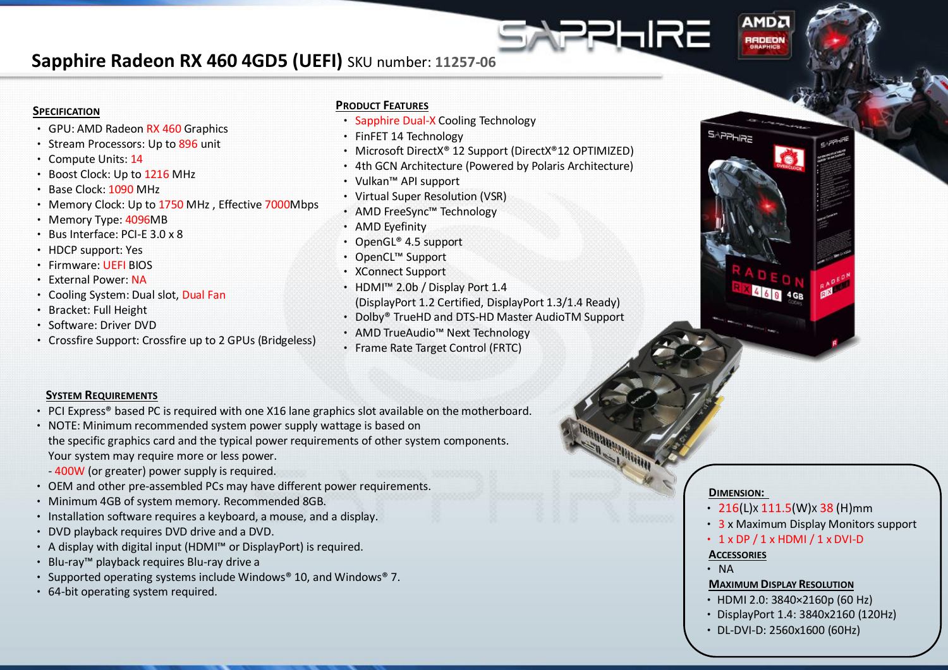## **Sapphire Radeon RX 460 4GD5 (UEFI)** SKU number: **11257-06**

#### **SPECIFICATION**

- GPU: AMD Radeon RX 460 Graphics
- Stream Processors: Up to 896 unit
- Compute Units: 14
- Boost Clock: Up to 1216 MHz
- Base Clock: 1090 MHz
- Memory Clock: Up to 1750 MHz , Effective 7000Mbps
- Memory Type: 4096MB
- Bus Interface: PCI-E 3.0 x 8
- HDCP support: Yes
- Firmware: UEFI BIOS
- External Power: NA
- Cooling System: Dual slot, Dual Fan
- Bracket: Full Height
- Software: Driver DVD
- Crossfire Support: Crossfire up to 2 GPUs (Bridgeless)

#### **PRODUCT FEATURES**

- Sapphire Dual-X Cooling Technology
- FinFET 14 Technology
- Microsoft DirectX® 12 Support (DirectX®12 OPTIMIZED)
- 4th GCN Architecture (Powered by Polaris Architecture)
- Vulkan™ API support
- Virtual Super Resolution (VSR)
- AMD FreeSync™ Technology
- AMD Eyefinity
- OpenGL® 4.5 support
- OpenCL™ Support
- XConnect Support
- HDMI™ 2.0b / Display Port 1.4 (DisplayPort 1.2 Certified, DisplayPort 1.3/1.4 Ready)
- Dolby® TrueHD and DTS-HD Master AudioTM Support
- AMD TrueAudio™ Next Technology
- Frame Rate Target Control (FRTC)

### **SYSTEM REQUIREMENTS**

- PCI Express® based PC is required with one X16 lane graphics slot available on the motherboard.
- NOTE: Minimum recommended system power supply wattage is based on the specific graphics card and the typical power requirements of other system components. Your system may require more or less power.
	- 400W (or greater) power supply is required.
- OEM and other pre-assembled PCs may have different power requirements.
- Minimum 4GB of system memory. Recommended 8GB.
- Installation software requires a keyboard, a mouse, and a display.
- DVD playback requires DVD drive and a DVD.
- A display with digital input (HDMI™ or DisplayPort) is required.
- Blu-ray™ playback requires Blu-ray drive a
- Supported operating systems include Windows® 10, and Windows® 7.
- 64-bit operating system required.

#### **DIMENSION:**

**AMD<sub>2</sub>** 

**RADEON** 

21122

- 216(L)x  $111.5(W)$ x 38 (H)mm
- 3 x Maximum Display Monitors support
- $\cdot$  1 x DP / 1 x HDMI / 1 x DVI-D

#### **ACCESSORIES**

• NA

#### **MAXIMUM DISPLAY RESOLUTION**

- •HDMI 2.0: 3840×2160p (60 Hz)
- •DisplayPort 1.4: 3840x2160 (120Hz)
- •DL-DVI-D: 2560x1600 (60Hz)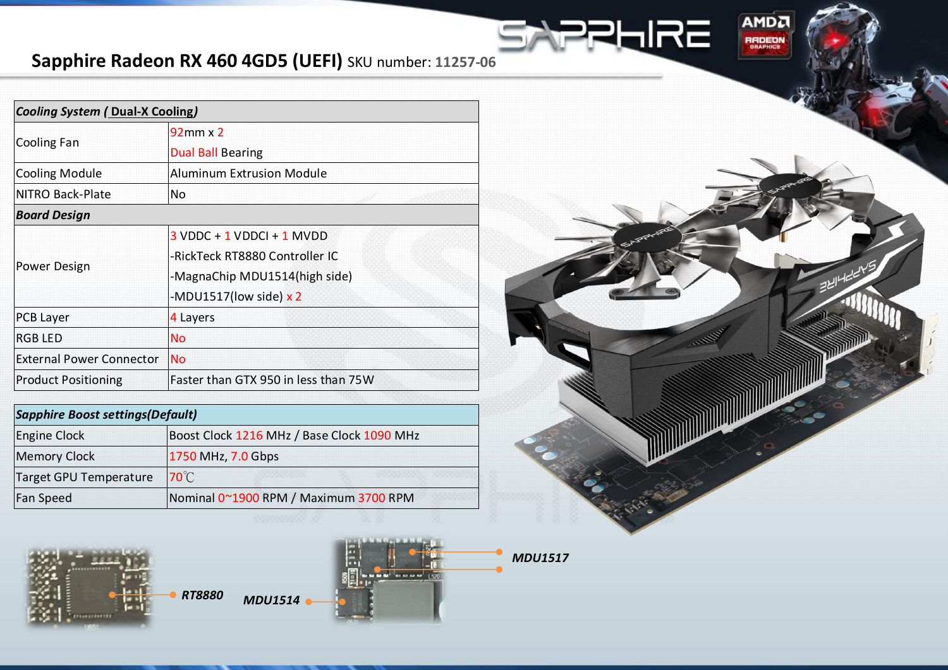# **Sapphire Radeon RX 460 4GD5 (UEFI)** SKU number: **11257-06**

| <b>Cooling System (Dual-X Cooling)</b> |                                      |
|----------------------------------------|--------------------------------------|
| Cooling Fan                            | $92$ mm x $2$                        |
|                                        | <b>Dual Ball Bearing</b>             |
| <b>Cooling Module</b>                  | <b>Aluminum Extrusion Module</b>     |
| NITRO Back-Plate                       | <b>No</b>                            |
| <b>Board Design</b>                    |                                      |
| Power Design                           | $3$ VDDC + 1 VDDCI + 1 MVDD          |
|                                        | -RickTeck RT8880 Controller IC       |
|                                        | -MagnaChip MDU1514(high side)        |
|                                        | -MDU1517(low side) $x$ 2             |
| <b>PCB Layer</b>                       | 4 Layers                             |
| <b>RGB LED</b>                         | <b>No</b>                            |
| <b>External Power Connector</b>        | <b>No</b>                            |
| <b>Product Positioning</b>             | Faster than GTX 950 in less than 75W |

| Sapphire Boost settings (Default) |                                            |
|-----------------------------------|--------------------------------------------|
| <b>Engine Clock</b>               | Boost Clock 1216 MHz / Base Clock 1090 MHz |
| <b>Memory Clock</b>               | 1750 MHz, 7.0 Gbps                         |
| <b>Target GPU Temperature</b>     | $70^{\circ}$ C                             |
| Fan Speed                         | Nominal 0~1900 RPM / Maximum 3700 RPM      |



*RT8880 MDU1514*



*MDU1517*

二戸



AMDA

**RADEON** 

**SHIRE**